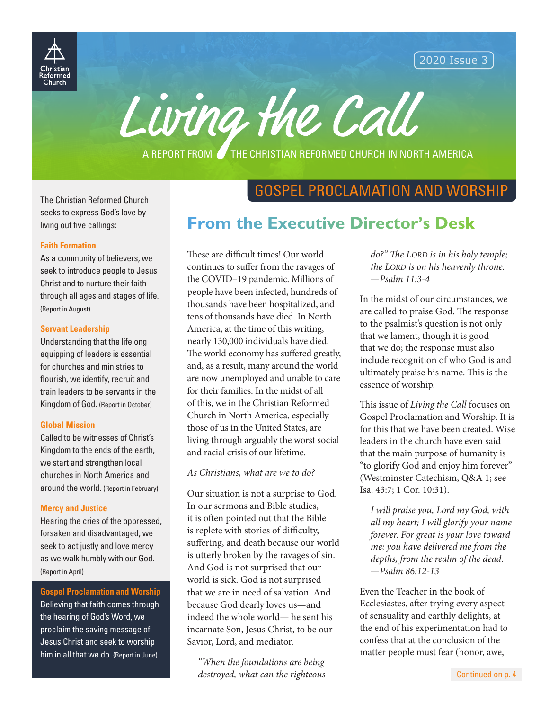

2020 Issue 3

Living the Call

A REPORT FROM **THE CHRISTIAN REFORMED CHURCH IN NORTH AMERICA** 

#### The Christian Reformed Church seeks to express God's love by living out five callings:

#### **Faith Formation**

As a community of believers, we seek to introduce people to Jesus Christ and to nurture their faith through all ages and stages of life. (Report in August)

#### **Servant Leadership**

Understanding that the lifelong equipping of leaders is essential for churches and ministries to flourish, we identify, recruit and train leaders to be servants in the Kingdom of God. (Report in October)

#### **Global Mission**

Called to be witnesses of Christ's Kingdom to the ends of the earth, we start and strengthen local churches in North America and around the world. (Report in February)

#### **Mercy and Justice**

Hearing the cries of the oppressed, forsaken and disadvantaged, we seek to act justly and love mercy as we walk humbly with our God. (Report in April)

#### **Gospel Proclamation and Worship**

Believing that faith comes through the hearing of God's Word, we proclaim the saving message of Jesus Christ and seek to worship him in all that we do. (Report in June)

## GOSPEL PROCLAMATION AND WORSHIP

## **From the Executive Director's Desk**

These are difficult times! Our world continues to suffer from the ravages of the COVID–19 pandemic. Millions of people have been infected, hundreds of thousands have been hospitalized, and tens of thousands have died. In North America, at the time of this writing, nearly 130,000 individuals have died. The world economy has suffered greatly, and, as a result, many around the world are now unemployed and unable to care for their families. In the midst of all of this, we in the Christian Reformed Church in North America, especially those of us in the United States, are living through arguably the worst social and racial crisis of our lifetime.

*As Christians, what are we to do?*

Our situation is not a surprise to God. In our sermons and Bible studies, it is often pointed out that the Bible is replete with stories of difficulty, suffering, and death because our world is utterly broken by the ravages of sin. And God is not surprised that our world is sick. God is not surprised that we are in need of salvation. And because God dearly loves us—and indeed the whole world— he sent his incarnate Son, Jesus Christ, to be our Savior, Lord, and mediator.

*"When the foundations are being destroyed, what can the righteous* 

*do?" The LORD is in his holy temple; the LORD is on his heavenly throne.*  —*Psalm 11:3-4* 

In the midst of our circumstances, we are called to praise God. The response to the psalmist's question is not only that we lament, though it is good that we do; the response must also include recognition of who God is and ultimately praise his name. This is the essence of worship.

This issue of *Living the Call* focuses on Gospel Proclamation and Worship. It is for this that we have been created. Wise leaders in the church have even said that the main purpose of humanity is "to glorify God and enjoy him forever" (Westminster Catechism, Q&A 1; see Isa. 43:7; 1 Cor. 10:31).

*I will praise you, Lord my God, with all my heart; I will glorify your name forever. For great is your love toward me; you have delivered me from the depths, from the realm of the dead.*  —*Psalm 86:12-13*

Even the Teacher in the book of Ecclesiastes, after trying every aspect of sensuality and earthly delights, at the end of his experimentation had to confess that at the conclusion of the matter people must fear (honor, awe,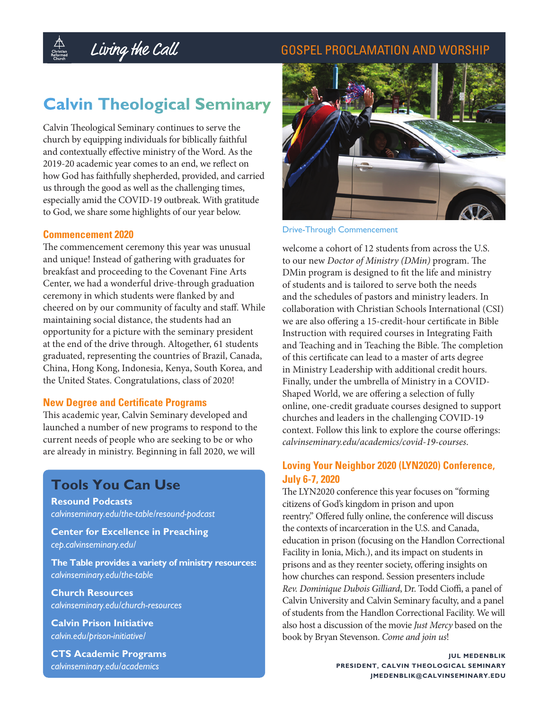#### GOSPEL PROCLAMATION AND WORSHIP

## **Calvin Theological Seminary**

Living the Call

Calvin Theological Seminary continues to serve the church by equipping individuals for biblically faithful and contextually effective ministry of the Word. As the 2019-20 academic year comes to an end, we reflect on how God has faithfully shepherded, provided, and carried us through the good as well as the challenging times, especially amid the COVID-19 outbreak. With gratitude to God, we share some highlights of our year below.

#### **Commencement 2020**

 $\bigoplus_{\substack{\textnormal{Christian} \\\textnormal{Reformed} \\\textnormal{Reformed}}}}$ 

The commencement ceremony this year was unusual and unique! Instead of gathering with graduates for breakfast and proceeding to the Covenant Fine Arts Center, we had a wonderful drive-through graduation ceremony in which students were flanked by and cheered on by our community of faculty and staff. While maintaining social distance, the students had an opportunity for a picture with the seminary president at the end of the drive through. Altogether, 61 students graduated, representing the countries of Brazil, Canada, China, Hong Kong, Indonesia, Kenya, South Korea, and the United States. Congratulations, class of 2020!

#### **New Degree and Certificate Programs**

This academic year, Calvin Seminary developed and launched a number of new programs to respond to the current needs of people who are seeking to be or who are already in ministry. Beginning in fall 2020, we will

## **Tools You Can Use**

**Resound Podcasts**  *[calvinseminary.edu/the-table/resound-podcast](https://www.calvinseminary.edu/the-table/resound-podcast)*

**Center for Excellence in Preaching**  *[cep.calvinseminary.edu/](https://cep.calvinseminary.edu/)*

**The Table provides a variety of ministry resources:** *[calvinseminary.edu/the-table](https://www.calvinseminary.edu/the-table)*

**Church Resources**  *[calvinseminary.edu/church-resources](https://www.calvinseminary.edu/church-resources)*

**Calvin Prison Initiative**  *[calvin.edu/prison-initiative/](https://calvin.edu/prison-initiative/)*

**CTS Academic Programs**  *[calvinseminary.edu/academics](https://www.calvinseminary.edu/academics)*



#### Drive-Through Commencement

welcome a cohort of 12 students from across the U.S. to our new *[Doctor of Ministry \(DMin\)](https://www.calvinseminary.edu/academics/doctor-of-ministry)* program. The DMin program is designed to fit the life and ministry of students and is tailored to serve both the needs and the schedules of pastors and ministry leaders. In collaboration with Christian Schools International (CSI) we are also offering a 15-credit-hour certificate in Bible Instruction with required courses in Integrating Faith and Teaching and in Teaching the Bible. The completion of this certificate can lead to a master of arts degree in Ministry Leadership with additional credit hours. Finally, under the umbrella of Ministry in a COVID-Shaped World, we are offering a selection of fully online, one-credit graduate courses designed to support churches and leaders in the challenging COVID-19 context. Follow this link to explore the course offerings: *[calvinseminary.edu/academics/covid-19-courses](https://www.calvinseminary.edu/academics/covid-19-courses)*.

#### **Loving Your Neighbor 2020 (LYN2020) Conference, July 6-7, 2020**

The LYN2020 conference this year focuses on "forming citizens of God's kingdom in prison and upon reentry." Offered fully online, the conference will discuss the contexts of incarceration in the U.S. and Canada, education in prison (focusing on the Handlon Correctional Facility in Ionia, Mich.), and its impact on students in prisons and as they reenter society, offering insights on how churches can respond. Session presenters include *[Rev. Dominique Dubois Gilliard](https://dominiquegilliard.com/)*, Dr. Todd Cioffi, a panel of Calvin University and Calvin Seminary faculty, and a panel of students from the Handlon Correctional Facility. We will also host a discussion of the movie *[Just Mercy](https://www.justmercyfilm.com/)* based on the book by Bryan Stevenson. *[Come and join us](https://www.calvinseminary.edu/loving-your-neighbor-2020)*!

> **JUL MEDENBLIK PRESIDENT, CALVIN THEOLOGICAL SEMINARY JMEDENBLIK@CALVINSEMINARY.EDU**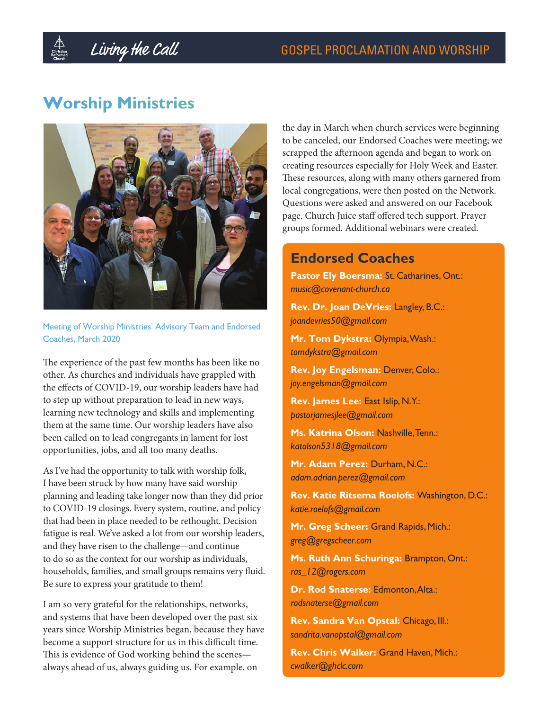## Living the Call

## **Worship Ministries**



Meeting of Worship Ministries' Advisory Team and Endorsed Coaches, March 2020

The experience of the past few months has been like no other. As churches and individuals have grappled with the effects of COVID-19, our worship leaders have had to step up without preparation to lead in new ways, learning new technology and skills and implementing them at the same time. Our worship leaders have also been called on to lead congregants in lament for lost opportunities, jobs, and all too many deaths.

As I've had the opportunity to talk with worship folk, I have been struck by how many have said worship planning and leading take longer now than they did prior to COVID-19 closings. Every system, routine, and policy that had been in place needed to be rethought. Decision fatigue is real. We've asked a lot from our worship leaders, and they have risen to the challenge—and continue to do so as the context for our worship as individuals, households, families, and small groups remains very fluid. Be sure to express your gratitude to them!

I am so very grateful for the relationships, networks, and systems that have been developed over the past six years since Worship Ministries began, because they have become a support structure for us in this difficult time. This is evidence of God working behind the scenes always ahead of us, always guiding us. For example, on

the day in March when church services were beginning to be canceled, our Endorsed Coaches were meeting; we scrapped the afternoon agenda and began to work on creating resources especially for Holy Week and Easter. These resources, along with many others garnered from local congregations, were then posted on the Network. Questions were asked and answered on our Facebook page. Church Juice staff offered tech support. Prayer groups formed. Additional webinars were created.

## **Endorsed Coaches**

Pastor Ely Boersma: St. Catharines, Ont.: *[music@covenant-church.ca](mailto:-music@covenant-church.ca)*

**Rev. Dr. Joan DeVries:** Langley, B.C.: *joandevries50@gmail.com*

**Mr. Tom Dykstra:** Olympia, Wash.: *[tomdykstra@gmail.com](mailto:-tomdykstra@gmail.com)*

**Rev. Joy Engelsman:** Denver, Colo.: *[joy.engelsman@gmail.com](mailto:-joy.engelsman@gmail.com)*

**Rev. James Lee:** East Islip, N.Y.: *[pastorjamesjlee@gmail.com](mailto:-pastorhamesjlee@gmail.com)*

**Ms. Katrina Olson:** Nashville, Tenn.: *katolson5318@gmail.com*

**Mr. Adam Perez:** Durham, N.C.: *adam.adrian.perez@gmail.com*

**Rev. Katie Ritsema Roelofs:** Washington, D.C.: *[katie.roelofs@gmail.com](mailto:katie.roelofs@gmail.com)*

**Mr. Greg Scheer:** Grand Rapids, Mich.: *[greg@gregscheer.com](mailto:-greg@gregscheer.com)*

**Ms. Ruth Ann Schuringa:** Brampton, Ont.: *[ras\\_12@rogers.com](mailto:ras_12@rogers.com)*

**Dr. Rod Snaterse:** Edmonton, Alta.: *rodsnaterse@gmail.com*

**Rev. Sandra Van Opstal:** Chicago, Ill.: *[sandrita.vanopstal@gmail.com](mailto:-sandrita.vanopstal@gmail.com)*

**Rev. Chris Walker:** Grand Haven, Mich.: *[cwalker@ghclc.com](mailto:cwalker@ghclc.com)*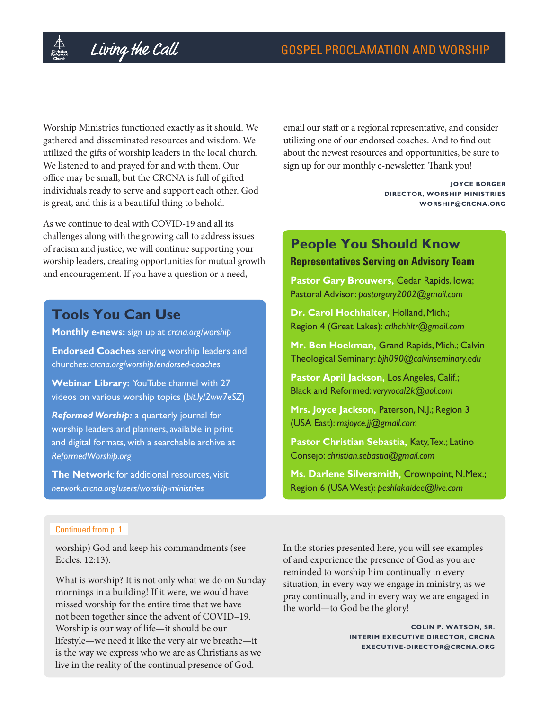Worship Ministries functioned exactly as it should. We gathered and disseminated resources and wisdom. We utilized the gifts of worship leaders in the local church. We listened to and prayed for and with them. Our office may be small, but the CRCNA is full of gifted individuals ready to serve and support each other. God is great, and this is a beautiful thing to behold.

As we continue to deal with COVID-19 and all its challenges along with the growing call to address issues of racism and justice, we will continue supporting your worship leaders, creating opportunities for mutual growth and encouragement. If you have a question or a need,

## **Tools You Can Use**

**Monthly e-news:** sign up at *[crcna.org/worship](https://www.crcna.org/worship)*

**Endorsed Coaches** serving worship leaders and churches: *[crcna.org/worship/endorsed-coaches](https://www.crcna.org/worship/endorsed-coaches)*

**Webinar Library:** YouTube channel with 27 videos on various worship topics (*[bit.ly/2ww7eSZ](https://bit.ly/2ww7eSZ)*)

*Reformed Worship:* a quarterly journal for worship leaders and planners, available in print and digital formats, with a searchable archive at *[ReformedWorship.org](https://www.reformedworship.org/)*

**The Network**: for additional resources, visit *[network.crcna.org/users/worship-ministries](https://network.crcna.org/users/worship-ministries)*

email our staff or a regional representative, and consider utilizing one of our endorsed coaches. And to find out about the newest resources and opportunities, be sure to sign up for our monthly e-newsletter. Thank you!

> **JOYCE BORGER DIRECTOR, WORSHIP MINISTRIES [WORSHIP@CRCNA.ORG](mailto:worship@crcna.org)**

## **People You Should Know**

#### **Representatives Serving on Advisory Team**

**Pastor Gary Brouwers,** Cedar Rapids, Iowa; Pastoral Advisor: *[pastorgary2002@gmail.com](mailto:pastorgary2002@gmail.com)*

**Dr. Carol Hochhalter,** Holland, Mich.; Region 4 (Great Lakes): *crlhchhltr@gmail.com*

**Mr. Ben Hoekman,** Grand Rapids, Mich.; Calvin Theological Seminary: *bjh090@calvinseminary.edu*

**Pastor April Jackson,** Los Angeles, Calif.; Black and Reformed: *[veryvocal2k@aol.com](mailto:-veryvocal2k@aol.com)*

**Mrs. Joyce Jackson,** Paterson, N.J.; Region 3 (USA East): *msjoyce.jj@gmail.com*

**Pastor Christian Sebastia,** Katy, Tex.; Latino Consejo: *christian.sebastia@gmail.com*

**Ms. Darlene Silversmith,** Crownpoint, N.Mex.; Region 6 (USA West): *[peshlakaidee@live.com](mailto:-peshlakaidee@live.com)* 

#### Continued from p. 1

worship) God and keep his commandments (see Eccles. 12:13).

What is worship? It is not only what we do on Sunday mornings in a building! If it were, we would have missed worship for the entire time that we have not been together since the advent of COVID–19. Worship is our way of life—it should be our lifestyle—we need it like the very air we breathe—it is the way we express who we are as Christians as we live in the reality of the continual presence of God.

In the stories presented here, you will see examples of and experience the presence of God as you are reminded to worship him continually in every situation, in every way we engage in ministry, as we pray continually, and in every way we are engaged in the world—to God be the glory!

> **COLIN P. WATSON, SR. INTERIM EXECUTIVE DIRECTOR, CRCNA EXECUTIVE-DIRECTOR@CRCNA.ORG**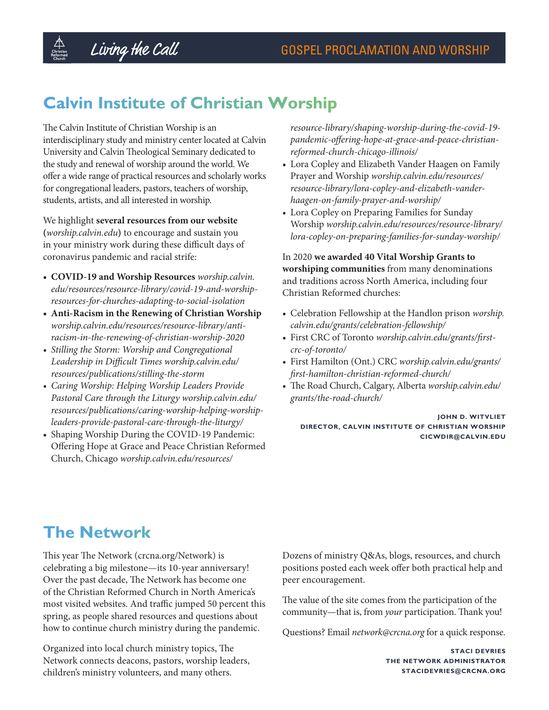## **Calvin Institute of Christian Worship**

The Calvin Institute of Christian Worship is an interdisciplinary study and ministry center located at Calvin University and Calvin Theological Seminary dedicated to the study and renewal of worship around the world. We offer a wide range of practical resources and scholarly works for congregational leaders, pastors, teachers of worship, students, artists, and all interested in worship.

We highlight **several resources from our website (***[worship.calvin.edu](http://worship.calvin.edu/)***)** to encourage and sustain you in your ministry work during these difficult days of coronavirus pandemic and racial strife:

- **• COVID-19 and Worship Resources** *[worship.calvin.](https://worship.calvin.edu/resources/resource-library/covid-19-and-worship-resources-for-churches-adapting-to-social-isolation) [edu/resources/resource-library/covid-19-and-worship](https://worship.calvin.edu/resources/resource-library/covid-19-and-worship-resources-for-churches-adapting-to-social-isolation)[resources-for-churches-adapting-to-social-isolation](https://worship.calvin.edu/resources/resource-library/covid-19-and-worship-resources-for-churches-adapting-to-social-isolation)*
- **• Anti-Racism in the Renewing of Christian Worship**  *[worship.calvin.edu/resources/resource-library/anti](https://worship.calvin.edu/resources/resource-library/anti-racism-in-the-renewing-of-christian-worship-2020)[racism-in-the-renewing-of-christian-worship-2020](https://worship.calvin.edu/resources/resource-library/anti-racism-in-the-renewing-of-christian-worship-2020)*
- *• Stilling the Storm: Worship and Congregational Leadership in Difficult Times [worship.calvin.edu/](https://worship.calvin.edu/resources/publications/stilling-the-storm) [resources/publications/stilling-the-storm](https://worship.calvin.edu/resources/publications/stilling-the-storm)*
- *• Caring Worship: Helping Worship Leaders Provide Pastoral Care through the Liturgy [worship.calvin.edu/](https://worship.calvin.edu/resources/publications/caring-worship-helping-worship-leaders-provide-pastoral-care-through-the-liturgy/) [resources/publications/caring-worship-helping-worship](https://worship.calvin.edu/resources/publications/caring-worship-helping-worship-leaders-provide-pastoral-care-through-the-liturgy/)[leaders-provide-pastoral-care-through-the-liturgy/](https://worship.calvin.edu/resources/publications/caring-worship-helping-worship-leaders-provide-pastoral-care-through-the-liturgy/)*
- Shaping Worship During the COVID-19 Pandemic: Offering Hope at Grace and Peace Christian Reformed Church, Chicago *[worship.calvin.edu/resources/](https://worship.calvin.edu/resources/resource-library/shaping-worship-during-the-covid-19-pandemic-offering-hope-at-grace-and-peace-christian-reformed-church-chicago-illinois/)*

*[resource-library/shaping-worship-during-the-covid-19](https://worship.calvin.edu/resources/resource-library/shaping-worship-during-the-covid-19-pandemic-offering-hope-at-grace-and-peace-christian-reformed-church-chicago-illinois/) [pandemic-offering-hope-at-grace-and-peace-christian](https://worship.calvin.edu/resources/resource-library/shaping-worship-during-the-covid-19-pandemic-offering-hope-at-grace-and-peace-christian-reformed-church-chicago-illinois/)[reformed-church-chicago-illinois/](https://worship.calvin.edu/resources/resource-library/shaping-worship-during-the-covid-19-pandemic-offering-hope-at-grace-and-peace-christian-reformed-church-chicago-illinois/)*

- Lora Copley and Elizabeth Vander Haagen on Family Prayer and Worship *[worship.calvin.edu/resources/](https://worship.calvin.edu/resources/resource-library/lora-copley-and-elizabeth-vander-haagen-on-family-prayer-and-worship/) [resource-library/lora-copley-and-elizabeth-vander](https://worship.calvin.edu/resources/resource-library/lora-copley-and-elizabeth-vander-haagen-on-family-prayer-and-worship/)[haagen-on-family-prayer-and-worship/](https://worship.calvin.edu/resources/resource-library/lora-copley-and-elizabeth-vander-haagen-on-family-prayer-and-worship/)*
- Lora Copley on Preparing Families for Sunday Worship *[worship.calvin.edu/resources/resource-library/](https://worship.calvin.edu/resources/resource-library/lora-copley-on-preparing-families-for-sunday-worship/) [lora-copley-on-preparing-families-for-sunday-worship/](https://worship.calvin.edu/resources/resource-library/lora-copley-on-preparing-families-for-sunday-worship/)*

In 2020 **we awarded 40 Vital Worship Grants to worshiping communities** from many denominations and traditions across North America, including four Christian Reformed churches:

- Celebration Fellowship at the Handlon prison *[worship.](https://worship.calvin.edu/grants/celebration-fellowship/) [calvin.edu/grants/celebration-fellowship/](https://worship.calvin.edu/grants/celebration-fellowship/)*
- First CRC of Toronto *[worship.calvin.edu/grants/first](https://worship.calvin.edu/grants/first-crc-of-toronto/)[crc-of-toronto/](https://worship.calvin.edu/grants/first-crc-of-toronto/)*
- First Hamilton (Ont.) CRC *[worship.calvin.edu/grants/](https://worship.calvin.edu/grants/first-hamilton-christian-reformed-church/) [first-hamilton-christian-reformed-church/](https://worship.calvin.edu/grants/first-hamilton-christian-reformed-church/)*
- The Road Church, Calgary, Alberta *[worship.calvin.edu/](https://worship.calvin.edu/grants/the-road-church/) [grants/the-road-church/](https://worship.calvin.edu/grants/the-road-church/)*

**JOHN D. WITVLIET DIRECTOR, CALVIN INSTITUTE OF CHRISTIAN WORSHIP [CICWDIR@CALVIN.EDU](mailto:cicwdir@calvin.edu)**

## **The Network**

This year The Network (crcna.org/Network) is celebrating a big milestone—its 10-year anniversary! Over the past decade, The Network has become one of the Christian Reformed Church in North America's most visited websites. And traffic jumped 50 percent this spring, as people shared resources and questions about how to continue church ministry during the pandemic.

Organized into local church ministry topics, The Network connects deacons, pastors, worship leaders, children's ministry volunteers, and many others.

Dozens of ministry Q&As, blogs, resources, and church positions posted each week offer both practical help and peer encouragement.

The value of the site comes from the participation of the community—that is, from *your* participation. Thank you!

Questions? Email *[network@crcna.org](mailto:network@crcna.org)* for a quick response.

**STACI DEVRIES THE NETWORK ADMINISTRATOR [STACIDEVRIES@CRCNA.ORG](mailto:stacidevries@crcna.org)**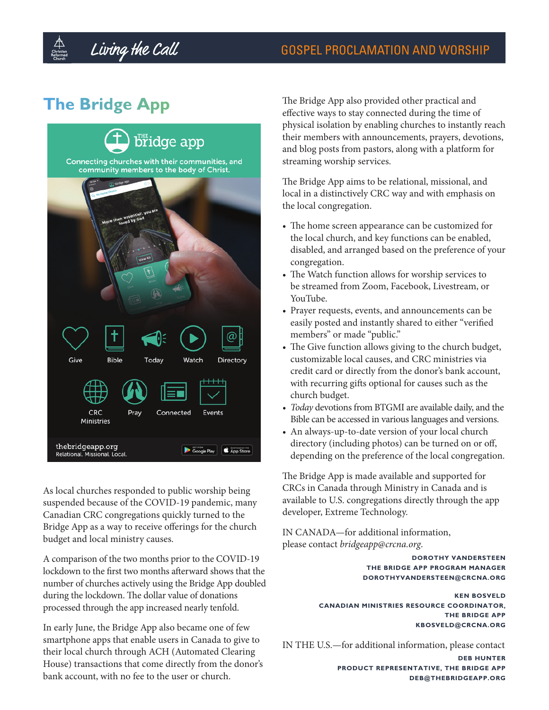## **The Bridge App**



As local churches responded to public worship being suspended because of the COVID-19 pandemic, many Canadian CRC congregations quickly turned to the Bridge App as a way to receive offerings for the church budget and local ministry causes.

A comparison of the two months prior to the COVID-19 lockdown to the first two months afterward shows that the number of churches actively using the Bridge App doubled during the lockdown. The dollar value of donations processed through the app increased nearly tenfold.

In early June, the Bridge App also became one of few smartphone apps that enable users in Canada to give to their local church through ACH (Automated Clearing House) transactions that come directly from the donor's bank account, with no fee to the user or church.

The Bridge App also provided other practical and effective ways to stay connected during the time of physical isolation by enabling churches to instantly reach their members with announcements, prayers, devotions, and blog posts from pastors, along with a platform for streaming worship services.

The Bridge App aims to be relational, missional, and local in a distinctively CRC way and with emphasis on the local congregation.

- The home screen appearance can be customized for the local church, and key functions can be enabled, disabled, and arranged based on the preference of your congregation.
- The Watch function allows for worship services to be streamed from Zoom, Facebook, Livestream, or YouTube.
- Prayer requests, events, and announcements can be easily posted and instantly shared to either "verified members" or made "public."
- The Give function allows giving to the church budget, customizable local causes, and CRC ministries via credit card or directly from the donor's bank account, with recurring gifts optional for causes such as the church budget.
- *• Today* devotions from BTGMI are available daily, and the Bible can be accessed in various languages and versions.
- An always-up-to-date version of your local church directory (including photos) can be turned on or off, depending on the preference of the local congregation.

The Bridge App is made available and supported for CRCs in Canada through Ministry in Canada and is available to U.S. congregations directly through the app developer, Extreme Technology.

IN CANADA—for additional information, please contact *bridgeapp@crcna.org*.

> **DOROTHY VANDERSTEEN THE BRIDGE APP PROGRAM MANAGER DOROTHYVANDERSTEEN@CRCNA.ORG**

**KEN BOSVELD CANADIAN MINISTRIES RESOURCE COORDINATOR, THE BRIDGE APP KBOSVELD@CRCNA.ORG** 

IN THE U.S.—for additional information, please contact

**DEB HUNTER PRODUCT REPRESENTATIVE, THE BRIDGE APP DEB@THEBRIDGEAPP.ORG**